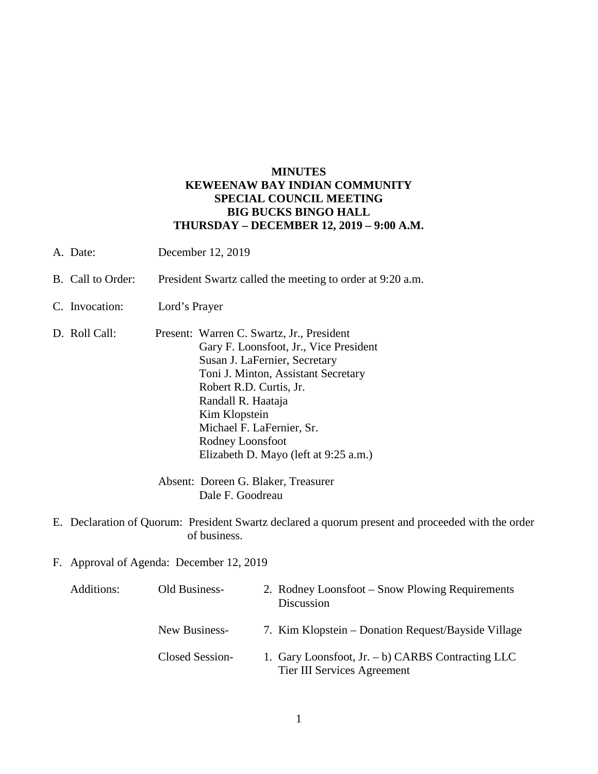## **MINUTES KEWEENAW BAY INDIAN COMMUNITY SPECIAL COUNCIL MEETING BIG BUCKS BINGO HALL THURSDAY – DECEMBER 12, 2019 – 9:00 A.M.**

- A. Date: December 12, 2019
- B. Call to Order: President Swartz called the meeting to order at 9:20 a.m.
- C. Invocation: Lord's Prayer
- D. Roll Call: Present: Warren C. Swartz, Jr., President Gary F. Loonsfoot, Jr., Vice President Susan J. LaFernier, Secretary Toni J. Minton, Assistant Secretary Robert R.D. Curtis, Jr. Randall R. Haataja Kim Klopstein Michael F. LaFernier, Sr. Rodney Loonsfoot Elizabeth D. Mayo (left at 9:25 a.m.)

Absent: Doreen G. Blaker, Treasurer Dale F. Goodreau

- E. Declaration of Quorum: President Swartz declared a quorum present and proceeded with the order of business.
- F. Approval of Agenda: December 12, 2019

| Additions: | Old Business-   | 2. Rodney Loonsfoot – Snow Plowing Requirements<br>Discussion                       |
|------------|-----------------|-------------------------------------------------------------------------------------|
|            | New Business-   | 7. Kim Klopstein – Donation Request/Bayside Village                                 |
|            | Closed Session- | 1. Gary Loonsfoot, Jr. $- b$ ) CARBS Contracting LLC<br>Tier III Services Agreement |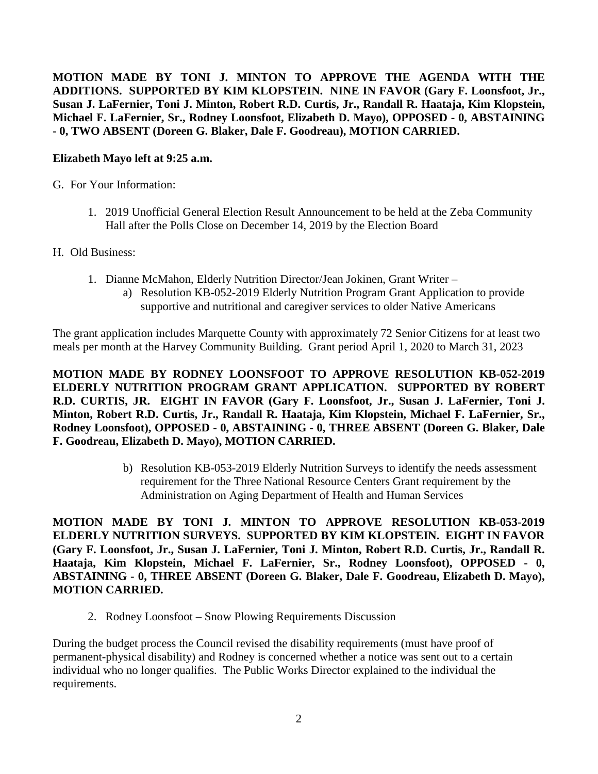**MOTION MADE BY TONI J. MINTON TO APPROVE THE AGENDA WITH THE ADDITIONS. SUPPORTED BY KIM KLOPSTEIN. NINE IN FAVOR (Gary F. Loonsfoot, Jr., Susan J. LaFernier, Toni J. Minton, Robert R.D. Curtis, Jr., Randall R. Haataja, Kim Klopstein, Michael F. LaFernier, Sr., Rodney Loonsfoot, Elizabeth D. Mayo), OPPOSED - 0, ABSTAINING - 0, TWO ABSENT (Doreen G. Blaker, Dale F. Goodreau), MOTION CARRIED.**

## **Elizabeth Mayo left at 9:25 a.m.**

- G. For Your Information:
	- 1. 2019 Unofficial General Election Result Announcement to be held at the Zeba Community Hall after the Polls Close on December 14, 2019 by the Election Board
- H. Old Business:
	- 1. Dianne McMahon, Elderly Nutrition Director/Jean Jokinen, Grant Writer
		- a) Resolution KB-052-2019 Elderly Nutrition Program Grant Application to provide supportive and nutritional and caregiver services to older Native Americans

The grant application includes Marquette County with approximately 72 Senior Citizens for at least two meals per month at the Harvey Community Building. Grant period April 1, 2020 to March 31, 2023

**MOTION MADE BY RODNEY LOONSFOOT TO APPROVE RESOLUTION KB-052-2019 ELDERLY NUTRITION PROGRAM GRANT APPLICATION. SUPPORTED BY ROBERT R.D. CURTIS, JR. EIGHT IN FAVOR (Gary F. Loonsfoot, Jr., Susan J. LaFernier, Toni J. Minton, Robert R.D. Curtis, Jr., Randall R. Haataja, Kim Klopstein, Michael F. LaFernier, Sr., Rodney Loonsfoot), OPPOSED - 0, ABSTAINING - 0, THREE ABSENT (Doreen G. Blaker, Dale F. Goodreau, Elizabeth D. Mayo), MOTION CARRIED.**

> b) Resolution KB-053-2019 Elderly Nutrition Surveys to identify the needs assessment requirement for the Three National Resource Centers Grant requirement by the Administration on Aging Department of Health and Human Services

**MOTION MADE BY TONI J. MINTON TO APPROVE RESOLUTION KB-053-2019 ELDERLY NUTRITION SURVEYS. SUPPORTED BY KIM KLOPSTEIN. EIGHT IN FAVOR (Gary F. Loonsfoot, Jr., Susan J. LaFernier, Toni J. Minton, Robert R.D. Curtis, Jr., Randall R. Haataja, Kim Klopstein, Michael F. LaFernier, Sr., Rodney Loonsfoot), OPPOSED - 0, ABSTAINING - 0, THREE ABSENT (Doreen G. Blaker, Dale F. Goodreau, Elizabeth D. Mayo), MOTION CARRIED.**

2. Rodney Loonsfoot – Snow Plowing Requirements Discussion

During the budget process the Council revised the disability requirements (must have proof of permanent-physical disability) and Rodney is concerned whether a notice was sent out to a certain individual who no longer qualifies. The Public Works Director explained to the individual the requirements.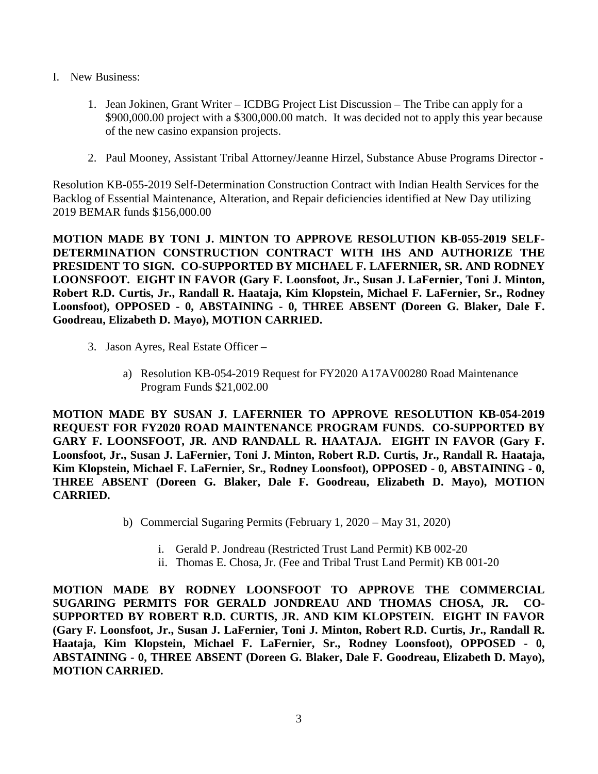- I. New Business:
	- 1. Jean Jokinen, Grant Writer ICDBG Project List Discussion The Tribe can apply for a \$900,000.00 project with a \$300,000.00 match. It was decided not to apply this year because of the new casino expansion projects.
	- 2. Paul Mooney, Assistant Tribal Attorney/Jeanne Hirzel, Substance Abuse Programs Director -

Resolution KB-055-2019 Self-Determination Construction Contract with Indian Health Services for the Backlog of Essential Maintenance, Alteration, and Repair deficiencies identified at New Day utilizing 2019 BEMAR funds \$156,000.00

**MOTION MADE BY TONI J. MINTON TO APPROVE RESOLUTION KB-055-2019 SELF-DETERMINATION CONSTRUCTION CONTRACT WITH IHS AND AUTHORIZE THE PRESIDENT TO SIGN. CO-SUPPORTED BY MICHAEL F. LAFERNIER, SR. AND RODNEY LOONSFOOT. EIGHT IN FAVOR (Gary F. Loonsfoot, Jr., Susan J. LaFernier, Toni J. Minton, Robert R.D. Curtis, Jr., Randall R. Haataja, Kim Klopstein, Michael F. LaFernier, Sr., Rodney Loonsfoot), OPPOSED - 0, ABSTAINING - 0, THREE ABSENT (Doreen G. Blaker, Dale F. Goodreau, Elizabeth D. Mayo), MOTION CARRIED.**

- 3. Jason Ayres, Real Estate Officer
	- a) Resolution KB-054-2019 Request for FY2020 A17AV00280 Road Maintenance Program Funds \$21,002.00

**MOTION MADE BY SUSAN J. LAFERNIER TO APPROVE RESOLUTION KB-054-2019 REQUEST FOR FY2020 ROAD MAINTENANCE PROGRAM FUNDS. CO-SUPPORTED BY GARY F. LOONSFOOT, JR. AND RANDALL R. HAATAJA. EIGHT IN FAVOR (Gary F. Loonsfoot, Jr., Susan J. LaFernier, Toni J. Minton, Robert R.D. Curtis, Jr., Randall R. Haataja, Kim Klopstein, Michael F. LaFernier, Sr., Rodney Loonsfoot), OPPOSED - 0, ABSTAINING - 0, THREE ABSENT (Doreen G. Blaker, Dale F. Goodreau, Elizabeth D. Mayo), MOTION CARRIED.**

- b) Commercial Sugaring Permits (February 1, 2020 May 31, 2020)
	- i. Gerald P. Jondreau (Restricted Trust Land Permit) KB 002-20
	- ii. Thomas E. Chosa, Jr. (Fee and Tribal Trust Land Permit) KB 001-20

**MOTION MADE BY RODNEY LOONSFOOT TO APPROVE THE COMMERCIAL SUGARING PERMITS FOR GERALD JONDREAU AND THOMAS CHOSA, JR. CO-SUPPORTED BY ROBERT R.D. CURTIS, JR. AND KIM KLOPSTEIN. EIGHT IN FAVOR (Gary F. Loonsfoot, Jr., Susan J. LaFernier, Toni J. Minton, Robert R.D. Curtis, Jr., Randall R. Haataja, Kim Klopstein, Michael F. LaFernier, Sr., Rodney Loonsfoot), OPPOSED - 0, ABSTAINING - 0, THREE ABSENT (Doreen G. Blaker, Dale F. Goodreau, Elizabeth D. Mayo), MOTION CARRIED.**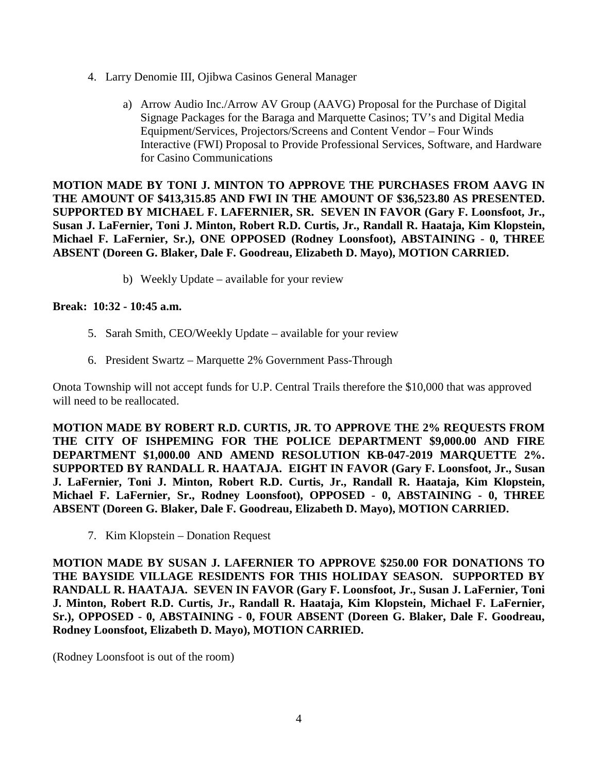- 4. Larry Denomie III, Ojibwa Casinos General Manager
	- a) Arrow Audio Inc./Arrow AV Group (AAVG) Proposal for the Purchase of Digital Signage Packages for the Baraga and Marquette Casinos; TV's and Digital Media Equipment/Services, Projectors/Screens and Content Vendor – Four Winds Interactive (FWI) Proposal to Provide Professional Services, Software, and Hardware for Casino Communications

**MOTION MADE BY TONI J. MINTON TO APPROVE THE PURCHASES FROM AAVG IN THE AMOUNT OF \$413,315.85 AND FWI IN THE AMOUNT OF \$36,523.80 AS PRESENTED. SUPPORTED BY MICHAEL F. LAFERNIER, SR. SEVEN IN FAVOR (Gary F. Loonsfoot, Jr., Susan J. LaFernier, Toni J. Minton, Robert R.D. Curtis, Jr., Randall R. Haataja, Kim Klopstein, Michael F. LaFernier, Sr.), ONE OPPOSED (Rodney Loonsfoot), ABSTAINING - 0, THREE ABSENT (Doreen G. Blaker, Dale F. Goodreau, Elizabeth D. Mayo), MOTION CARRIED.**

b) Weekly Update – available for your review

## **Break: 10:32 - 10:45 a.m.**

- 5. Sarah Smith, CEO/Weekly Update available for your review
- 6. President Swartz Marquette 2% Government Pass-Through

Onota Township will not accept funds for U.P. Central Trails therefore the \$10,000 that was approved will need to be reallocated.

**MOTION MADE BY ROBERT R.D. CURTIS, JR. TO APPROVE THE 2% REQUESTS FROM THE CITY OF ISHPEMING FOR THE POLICE DEPARTMENT \$9,000.00 AND FIRE DEPARTMENT \$1,000.00 AND AMEND RESOLUTION KB-047-2019 MARQUETTE 2%. SUPPORTED BY RANDALL R. HAATAJA. EIGHT IN FAVOR (Gary F. Loonsfoot, Jr., Susan J. LaFernier, Toni J. Minton, Robert R.D. Curtis, Jr., Randall R. Haataja, Kim Klopstein, Michael F. LaFernier, Sr., Rodney Loonsfoot), OPPOSED - 0, ABSTAINING - 0, THREE ABSENT (Doreen G. Blaker, Dale F. Goodreau, Elizabeth D. Mayo), MOTION CARRIED.**

7. Kim Klopstein – Donation Request

**MOTION MADE BY SUSAN J. LAFERNIER TO APPROVE \$250.00 FOR DONATIONS TO THE BAYSIDE VILLAGE RESIDENTS FOR THIS HOLIDAY SEASON. SUPPORTED BY RANDALL R. HAATAJA. SEVEN IN FAVOR (Gary F. Loonsfoot, Jr., Susan J. LaFernier, Toni J. Minton, Robert R.D. Curtis, Jr., Randall R. Haataja, Kim Klopstein, Michael F. LaFernier, Sr.), OPPOSED - 0, ABSTAINING - 0, FOUR ABSENT (Doreen G. Blaker, Dale F. Goodreau, Rodney Loonsfoot, Elizabeth D. Mayo), MOTION CARRIED.**

(Rodney Loonsfoot is out of the room)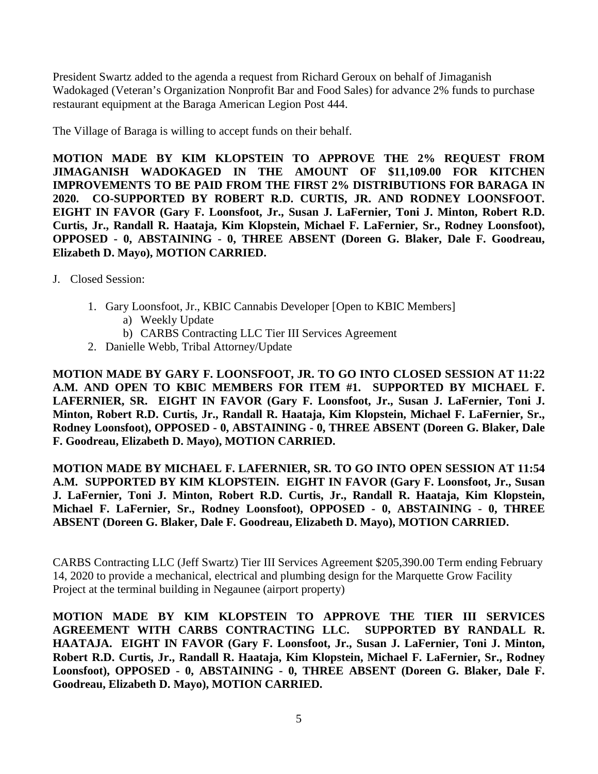President Swartz added to the agenda a request from Richard Geroux on behalf of Jimaganish Wadokaged (Veteran's Organization Nonprofit Bar and Food Sales) for advance 2% funds to purchase restaurant equipment at the Baraga American Legion Post 444.

The Village of Baraga is willing to accept funds on their behalf.

**MOTION MADE BY KIM KLOPSTEIN TO APPROVE THE 2% REQUEST FROM JIMAGANISH WADOKAGED IN THE AMOUNT OF \$11,109.00 FOR KITCHEN IMPROVEMENTS TO BE PAID FROM THE FIRST 2% DISTRIBUTIONS FOR BARAGA IN 2020. CO-SUPPORTED BY ROBERT R.D. CURTIS, JR. AND RODNEY LOONSFOOT. EIGHT IN FAVOR (Gary F. Loonsfoot, Jr., Susan J. LaFernier, Toni J. Minton, Robert R.D. Curtis, Jr., Randall R. Haataja, Kim Klopstein, Michael F. LaFernier, Sr., Rodney Loonsfoot), OPPOSED - 0, ABSTAINING - 0, THREE ABSENT (Doreen G. Blaker, Dale F. Goodreau, Elizabeth D. Mayo), MOTION CARRIED.**

- J. Closed Session:
	- 1. Gary Loonsfoot, Jr., KBIC Cannabis Developer [Open to KBIC Members]
		- a) Weekly Update
		- b) CARBS Contracting LLC Tier III Services Agreement
	- 2. Danielle Webb, Tribal Attorney/Update

**MOTION MADE BY GARY F. LOONSFOOT, JR. TO GO INTO CLOSED SESSION AT 11:22 A.M. AND OPEN TO KBIC MEMBERS FOR ITEM #1. SUPPORTED BY MICHAEL F. LAFERNIER, SR. EIGHT IN FAVOR (Gary F. Loonsfoot, Jr., Susan J. LaFernier, Toni J. Minton, Robert R.D. Curtis, Jr., Randall R. Haataja, Kim Klopstein, Michael F. LaFernier, Sr., Rodney Loonsfoot), OPPOSED - 0, ABSTAINING - 0, THREE ABSENT (Doreen G. Blaker, Dale F. Goodreau, Elizabeth D. Mayo), MOTION CARRIED.**

**MOTION MADE BY MICHAEL F. LAFERNIER, SR. TO GO INTO OPEN SESSION AT 11:54 A.M. SUPPORTED BY KIM KLOPSTEIN. EIGHT IN FAVOR (Gary F. Loonsfoot, Jr., Susan J. LaFernier, Toni J. Minton, Robert R.D. Curtis, Jr., Randall R. Haataja, Kim Klopstein, Michael F. LaFernier, Sr., Rodney Loonsfoot), OPPOSED - 0, ABSTAINING - 0, THREE ABSENT (Doreen G. Blaker, Dale F. Goodreau, Elizabeth D. Mayo), MOTION CARRIED.**

CARBS Contracting LLC (Jeff Swartz) Tier III Services Agreement \$205,390.00 Term ending February 14, 2020 to provide a mechanical, electrical and plumbing design for the Marquette Grow Facility Project at the terminal building in Negaunee (airport property)

**MOTION MADE BY KIM KLOPSTEIN TO APPROVE THE TIER III SERVICES AGREEMENT WITH CARBS CONTRACTING LLC. SUPPORTED BY RANDALL R. HAATAJA. EIGHT IN FAVOR (Gary F. Loonsfoot, Jr., Susan J. LaFernier, Toni J. Minton, Robert R.D. Curtis, Jr., Randall R. Haataja, Kim Klopstein, Michael F. LaFernier, Sr., Rodney Loonsfoot), OPPOSED - 0, ABSTAINING - 0, THREE ABSENT (Doreen G. Blaker, Dale F. Goodreau, Elizabeth D. Mayo), MOTION CARRIED.**